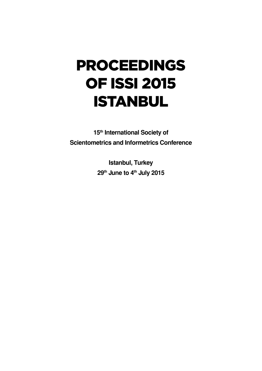# Proceedings of ISSI 2015 **ISTANBUL**

**15th International Society of Scientometrics and Informetrics Conference**

> **Istanbul, Turkey 29th June to 4th July 2015**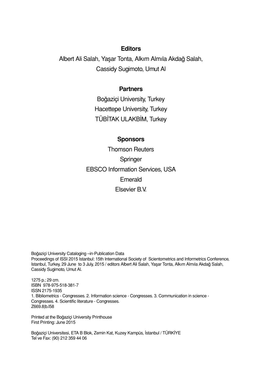# **Editors**

Albert Ali Salah, Yaşar Tonta, Alkım Almıla Akdağ Salah, Cassidy Sugimoto, Umut Al

## **Partners**

Boğaziçi University, Turkey Hacettepe University, Turkey TÜBİTAK ULAKBİM, Turkey

### **Sponsors**

Thomson Reuters Springer EBSCO Information Services, USA Emerald Elsevier B.V.

Boğaziçi University Cataloging –in-Publication Data Proceedings of ISSI 2015 Istanbul: 15th International Society of Scientometrics and Informetrics Conference, Istanbul, Turkey, 29 June to 3 July, 2015 / editors Albert Ali Salah, Yaşar Tonta, Alkım Almıla Akdağ Salah, Cassidy Sugimoto, Umut Al.

1275 p.; 29 cm. ISBN 978-975-518-381-7 ISSN 2175-1935 1. Bibliometrics - Congresses. 2. Information science - Congresses. 3. Communication in science - Congresses. 4. Scientific literature - Congresses. Z669.8|b.I58

Printed at the Boğaziçi University Printhouse First Printing: June 2015

Boğaziçi Universitesi, ETA B Blok, Zemin Kat, Kuzey Kampüs, İstanbul / TÜRKİYE Tel ve Fax: (90) 212 359 44 06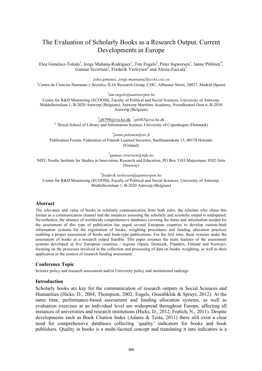# The Evaluation of Scholarly Books as a Research Output. Current Developments in Europe

Elea Giménez-Toledo<sup>1</sup>, Jorge Mañana-Rodríguez<sup>1</sup>, Tim Engels<sup>2</sup>, Peter Ingwersen<sup>3</sup>, Janne Pölönen<sup>4</sup>, Gunnar Sivertsen<sup>5</sup>, Frederik Verleysen<sup>6</sup> and Alesia Zuccala<sup>7</sup>

*{elea.gimenez, jorge.mannana}@cchs.csic.es*

<sup>1</sup>Centro de Ciencias Humanas y Sociales, ÍLIA Research Group, CSIC, Albasanz Street, 28037, Madrid (Spain)

*2 tim.engels@uantwerpen.be*

Centre for R&D Monitoring (ECOOM), Faculty of Political and Social Sciences, University of Antwerp, Middelheimlaan 1, B-2020 Antwerp (Belgium); Antwerp Maritime Academy, Noordkasteel Oost 6, B-2030 Antwerp (Belgium)

3 clb798@iva.ku.dk*, <sup>7</sup> spl465@iva.ku.dk* 

<sup>3, 7</sup>Royal School of Library and Information Science, University of Copenhagen (Denmark)

*4 janne.polonen@tsv.fi* Publication Forum, Federation of Finnish Learned Societies, Snellmaninkatu 13, 00170 Helsinki (Finland)

*5 gunnar.sivertsen@nifu.no*

NIFU Nordic Institute for Studies in Innovation, Research and Education, PO Box 5183 Majorstuen, 0302 Oslo (Norway)

*6 frederik.verleysen@uantwerpen.be* 

Centre for R&D Monitoring (ECOOM), Faculty of Political and Social Sciences, University of Antwerp, Middelheimlaan 1, B-2020 Antwerp (Belgium)

#### **Abstract**

The relevance and value of books in scholarly communication from both sides, the scholars who chose this format as a communication channel and the instances assessing the scholarly and scientific output is undisputed. Nevertheless, the absence of worldwide comprehensive databases covering the items and information needed for the assessment of this type of publication has urged several European countries to develop custom-built information systems for the registration of books, weighting procedures and funding allocation practices enabling a proper assessment of books and book-type publications. For the first time, these systems make the assessment of books as a research output feasible. This paper resumes the main features of the assessment systems developed in five European countries / regions (Spain, Denmark, Flanders, Finland and Norway), focusing on the processes involved in the collection and processing of data on books, weighting, as well as their application in the context of research funding assessment.

#### **Conference Topic**

Science policy and research assessment and/or University policy and institutional rankings

#### **Introduction**

Scholarly books are key for the communication of research outputs in Social Sciences and Humanities (Hicks, D., 2004; Thompson, 2002; Engels, Ossenbklok & Spruyt, 2012). At the same time, performance-based assessment and funding allocation systems, as well as evaluation exercises at an individual level are widespread throughout Europe, affecting all instances of universities and research institutions (Hicks, D., 2012; Frølich, N., 2011). Despite developments such as Book Citation Index (Adams & Testa, 2011) there still exist a clear need for comprehensive databases collecting 'quality' indicators for books and book publishers. Quality in books is a multi-faceted concept and translating it into indicators is a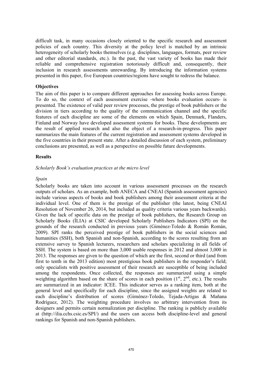difficult task, in many occasions closely oriented to the specific research and assessment policies of each country. This diversity at the policy level is matched by an intrinsic heterogeneity of scholarly books themselves (e.g. disciplines, languages, formats, peer review and other editorial standards, etc.). In the past, the vast variety of books has made their reliable and comprehensive registration notoriously difficult and, consequently, their inclusion in research assessments unrewarding. By introducing the information systems presented in this paper, five European countries/regions have sought to redress the balance.

#### **Objectives**

The aim of this paper is to compare different approaches for assessing books across Europe. To do so, the context of each assessment exercise -where books evaluation occurs- is presented. The existence of valid peer review processes, the prestige of book publishers or the division in tiers according to the quality of the communication channel and the specific features of each discipline are some of the elements on which Spain, Denmark, Flanders, Finland and Norway have developed assessment systems for books. These developments are the result of applied research and also the object of a research-in-progress. This paper summarizes the main features of the current registration and assessment systems developed in the five countries in their present state. After a detailed discussion of each system, preliminary conclusions are presented, as well as a perspective on possible future developments.

#### **Results**

#### *Scholarly Book's evaluation practices at the micro level*

#### *Spain*

Scholarly books are taken into account in various assessment processes on the research outputs of scholars. As an example, both ANECA and CNEAI (Spanish assessment agencies) include various aspects of books and book publishers among their assessment criteria at the individual level. One of them is the prestige of the publisher (the latest, being CNEAI Resolution of November 26, 2014, but included as quality criteria various years backwards). Given the lack of specific data on the prestige of book publishers, the Research Group on Scholarly Books (ÍLIA) at CSIC developed Scholarly Publishers Indicators (SPI) on the grounds of the research conducted in previous years (Giménez-Toledo & Román Román, 2009). SPI ranks the perceived prestige of book publishers in the social sciences and humanities (SSH), both Spanish and non-Spanish, according to the scores resulting from an extensive survey to Spanish lecturers, researchers and scholars specializing in all fields of SSH. The system is based on more than 3,000 usable responses in 2012 and almost 3,000 in 2013. The responses are given to the question of which are the first, second or third (and from first to tenth in the 2013 edition) most prestigious book publishers in the responder's field; only specialists with positive assessment of their research are susceptible of being included among the respondents. Once collected, the responses are summarized using a simple weighting algorithm based on the share of scores in each position  $(1<sup>st</sup>, 2<sup>nd</sup>, etc.).$  The results are summarized in an indicator: ICEE. This indicator serves as a ranking item, both at the general level and specifically for each discipline, since the assigned weights are related to each discipline's distribution of scores (Giménez-Toledo, Tejada-Artigas & Mañana Rodríguez, 2012). The weighting procedure involves no arbitrary intervention from its designers and permits certain normalization per discipline. The ranking is publicly available at (http://ilia.cchs.csic.es/SPI/) and the users can access both discipline-level and general rankings for Spanish and non-Spanish publishers.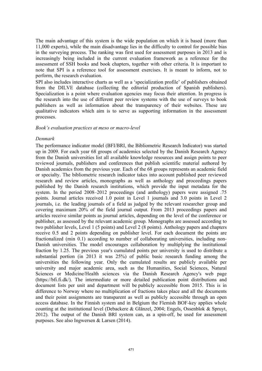The main advantage of this system is the wide population on which it is based (more than 11,000 experts), while the main disadvantage lies in the difficulty to control for possible bias in the surveying process. The ranking was first used for assessment purposes in 2013 and is increasingly being included in the current evaluation framework as a reference for the assessment of SSH books and book chapters, together with other criteria. It is important to note that SPI is a reference tool for assessment exercises. It is meant to inform, not to perform, the research evaluation.

SPI also includes interactive charts as well as a 'specialization profile' of publishers obtained from the DILVE database (collecting the editorial production of Spanish publishers). Specialization is a point where evaluation agencies may focus their attention. In progress is the research into the use of different peer review systems with the use of surveys to book publishers as well as information about the transparency of their websites. These are qualitative indicators which aim is to serve as supporting information in the assessment processes.

#### *Book's evaluation practices at meso or macro-level*

#### *Denmark*

The performance indicator model (BFI/BRI, the Bibliometric Research Indicator) was started up in 2009. For each year 68 groups of academics selected by the Danish Research Agency from the Danish universities list all available knowledge resources and assign points to peer reviewed journals, publishers and conferences that publish scientific material authored by Danish academics from the previous year. Each of the 68 groups represents an academic field or specialty. The bibliometric research indicator takes into account published peer reviewed research and review articles, monographs as well as anthology and proceedings papers published by the Danish research institutions, which provide the input metadata for the system. In the period 2008–2012 proceedings (and anthology) papers were assigned .75 points. Journal articles received 1.0 point in Level 1 journals and 3.0 points in Level 2 journals, i.e. the leading journals of a field as judged by the relevant researcher group and covering maximum 20% of the field journal output. From 2013 proceedings papers and articles receive similar points as journal articles, depending on the level of the conference or publisher, as assessed by the relevant academic group. Monographs are assessed according to two publisher levels, Level 1 (5 points) and Level 2 (8 points). Anthology papers and chapters receive 0.5 and 2 points depending on publisher level. For each document the points are fractionalized (min 0.1) according to number of collaborating universities, including non-Danish universities. The model encourages collaboration by multiplying the institutional fraction by 1.25. The previous year's cumulated points per university is used to distribute a substantial portion (in 2013 it was 25%) of public basic research funding among the universities the following year. Only the cumulated results are publicly available per university and major academic area, such as the Humanities, Social Sciences, Natural Sciences or Medicine/Health sciences via the Danish Research Agency's web page (https://bfi.fi.dk/). The intermediate or more detailed publication point distributions and document lists per unit and department will be publicly accessible from 2015. This is in difference to Norway where no multiplication of fractions takes place and all the documents and their point assignments are transparent as well as publicly accessible through an open access database. In the Finnish system and in Belgium the Flemish BOF-key applies whole counting at the institutional level (Debackere & Glänzel, 2004; Engels, Ossenblok & Spruyt, 2012). The output of the Danish BRI system can, as a spin-off, be used for assessment purposes. See also Ingwersen & Larsen (2014).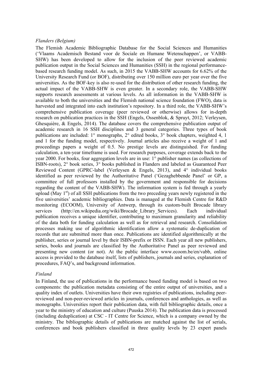#### *Flanders (Belgium)*

The Flemish Academic Bibliographic Database for the Social Sciences and Humanities ('Vlaams Academisch Bestand voor de Sociale en Humane Wetenschappen', or VABB-SHW) has been developed to allow for the inclusion of the peer reviewed academic publication output in the Social Sciences and Humanities (SSH) in the regional performancebased research funding model. As such, in 2015 the VABB-SHW accounts for 6.62% of the University Research Fund (or BOF), distributing over 150 million euro per year over the five universities. As the BOF-key is also re-used for the distribution of other research funding, the actual impact of the VABB-SHW is even greater. In a secondary role, the VABB-SHW supports research assessments at various levels. As all information in the VABB-SHW is available to both the universities and the Flemish national science foundation (FWO), data is harvested and integrated into each institution's repository. In a third role, the VABB-SHW's comprehensive publication coverage (peer reviewed or otherwise) allows for in-depth research on publication practices in the SSH (Engels, Ossenblok, & Spruyt, 2012; Verleysen, Ghesquière, & Engels, 2014). The database covers the comprehensive publication output of academic research in 16 SSH disciplines and 3 general categories. Three types of book publications are included: 1° monographs, 2° edited books, 3° book chapters, weighted 4, 1 and 1 for the funding model, respectively. Journal articles also receive a weight of 1 and proceedings papers a weight of 0.5. No prestige levels are distinguished. For funding calculation, a ten-year timeframe is used. For research purposes, coverage extends back to the year 2000. For books, four aggregation levels are in use: 1° publisher names (as collections of ISBN-roots), 2° book series, 3° books published in Flanders and labeled as Guaranteed Peer Reviewed Content (GPRC-label (Verleysen & Engels, 2013), and 4° individual books identified as peer reviewed by the Authoritative Panel ('Gezaghebbende Panel' or GP, a committee of full professors installed by the government and responsible for decisions regarding the content of the VABB-SHW). The information system is fed through a yearly upload (May  $1<sup>st</sup>$ ) of all SSH publications from the two preceding years newly registered in the five universities' academic bibliographies. Data is managed at the Flemish Centre for R&D monitoring (ECOOM), University of Antwerp, through its custom-built Brocade library services (http://en.wikipedia.org/wiki/Brocade\_Library\_Services). Each individual publication receives a unique identifier, contributing to maximum granularity and reliability of the data both for funding calculation as well as for retrieval and research. Consolidation processes making use of algorithmic identification allow a systematic de-duplication of records that are submitted more than once. Publications are identified algorithmically at the publisher, series or journal level by their ISBN-prefix or ISSN. Each year all new publishers, series, books and journals are classified by the Authoritative Panel as peer reviewed and presenting new content (or not). At the public interface www.ecoom.be/en/vabb, online access is provided to the database itself, lists of publishers, journals and series, explanation of procedures, FAQ's, and background information.

#### *Finland*

In Finland, the use of publications in the performance based funding model is based on two components: the publication metadata consisting of the entire output of universities, and a quality index of outlets. Universities have their own registries of publications, including peerreviewed and non-peer-reviewed articles in journals, conferences and anthologies, as well as monographs. Universities report their publication data, with full bibliographic details, once a year to the ministry of education and culture (Puuska 2014). The publication data is processed (including deduplication) at CSC - IT Centre for Science, which is a company owned by the ministry. The bibliographic details of publications are matched against the list of serials, conferences and book publishers classified in three quality levels by 23 expert panels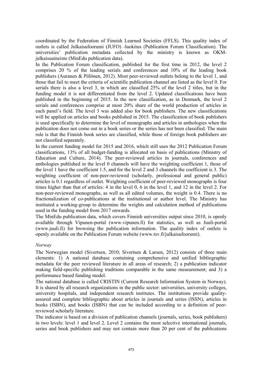coordinated by the Federation of Finnish Learned Societies (FFLS). This quality index of outlets is called Julkaisufoorumi (JUFO) -luokitus (Publication Forum Classification). The universities' publication metadata collected by the ministry is known as OKMjulkaisuaineisto (MinEdu publication data).

In the Publication Forum classification, published for the first time in 2012, the level 2 comprises 20 % of the leading serials and conferences and 10% of the leading book publishers (Auranen & Pölönen, 2012). Most peer-reviewed outlets belong to the level 1, and those that fail to meet the criteria of scientific publication channel are listed as the level 0. For serials there is also a level 3, in which are classified 25% of the level 2 titles, but in the funding model it is not differentiated from the level 2. Updated classifications have been published in the beginning of 2015. In the new classification, as in Denmark, the level 2 serials and conferences comprise at most 20% share of the world production of articles in each panel's field. The level 3 was added also for book publishers. The new classifications will be applied on articles and books published in 2015. The classification of book publishers is used specifically to determine the level of monographs and articles in anthologies when the publication does not come out in a book series or the series has not been classified. The main rule is that the Finnish book series are classified, while those of foreign book publishers are not classified separately.

In the current funding model for 2015 and 2016, which still uses the 2012 Publication Forum classifications, 13% of all budget-funding is allocated on basis of publications (Ministry of Education and Culture, 2014). The peer-reviewed articles in journals, conferences and anthologies published in the level 0 channels will have the weighting coefficient 1, those of the level 1 have the coefficient 1.5, and for the level 2 and 3 channels the coefficient is 3. The weighting coefficient of non-peer-reviewed (scholarly, professional and general public) articles is 0.1 regardless of outlet. Weighting coefficient of peer-reviewed monographs is four times higher than that of articles: 4 in the level 0, 6 in the level 1, and 12 in the level 2. For non-peer-reviewed monographs, as well as all edited volumes, the weight is 0.4. There is no fractionalization of co-publications at the institutional or author level. The Ministry has instituted a working-group to determine the weights and calculation method of publications used in the funding model from 2017 onwards.

The MinEdu publication data, which covers Finnish universities output since 2010, is openly available through Vipunen-portal (www.vipunen.fi) for statistics, as well as Juuli-portal (www.juuli.fi) for browsing the publication information. The quality index of outlets is openly available on the Publication Forum website (www.tsv.fi/julkaisufoorumi).

#### *Norway*

The Norwegian model (Sivertsen, 2010; Sivertsen & Larsen, 2012) consists of three main elements: 1) A national database containing comprehensive and unified bibliographic metadata for the peer reviewed literature in all areas of research; 2) a publication indicator making field-specific publishing traditions comparable in the same measurement; and 3) a performance based funding model.

The national database is called CRISTIN (Current Research Information System in Norway). It is shared by all research organizations in the public sector: universities, university colleges, university hospitals, and independent research institutes. The institutions provide qualityassured and complete bibliographic about articles in journals and series (ISSN), articles in books (ISBN), and books (ISBN) that can be included according to a definition of peerreviewed scholarly literature.

The indicator is based on a division of publication channels (journals, series, book publishers) in two levels: level 1 and level 2. Level 2 contains the most selective international journals, series and book publishers and may not contain more than 20 per cent of the publications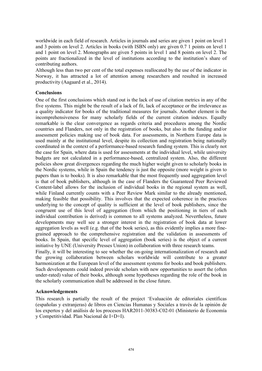worldwide in each field of research. Articles in journals and series are given 1 point on level 1 and 3 points on level 2. Articles in books (with ISBN only) are given 0.7 1 points on level 1 and 1 point on level 2. Monographs are given 5 points in level 1 and 8 points on level 2. The points are fractionalized in the level of institutions according to the institution's share of contributing authors.

Although less than two per cent of the total expenses reallocated by the use of the indicator in Norway, it has attracted a lot of attention among researchers and resulted in increased productivity (Aagaard et al., 2014).

#### **Conclusions**

One of the first conclusions which stand out is the lack of use of citation metrics in any of the five systems. This might be the result of a lack of fit, lack of acceptance or the irrelevance as a quality indicator for books of the traditional measures for journals. Another element is the incomprehensiveness for many scholarly fields of the current citation indexes. Equally remarkable is the clear convergence as regards criteria and procedures among the Nordic countries and Flanders, not only in the registration of books, but also in the funding and/or assessment policies making use of book data. For assessments, in Northern Europe data is used mainly at the institutional level, despite its collection and registration being nationally coordinated in the context of a performance-based research funding system. This is clearly not the case for Spain, where data is used for assessments at the individual level, while university budgets are not calculated in a performance-based, centralized system. Also, the different policies show great divergences regarding the much higher weight given to scholarly books in the Nordic systems, while in Spain the tendency is just the opposite (more weight is given to papers than is to books). It is also remarkable that the most frequently used aggregation level is that of book publishers, although in the case of Flanders the Guaranteed Peer Reviewed Content-label allows for the inclusion of individual books in the regional system as well, while Finland currently counts with a Peer Review Mark similar to the already mentioned, making feasible that possibility. This involves that the expected coherence in the practices underlying to the concept of quality is sufficient at the level of book publishers, since the congruent use of this level of aggregation (from which the positioning in tiers of each individual contribution is derived) is common to all systems analyzed. Nevertheless, future developments may well see a stronger interest in the registration of book data at lower aggregation levels as well (e.g. that of the book series), as this evidently implies a more finegrained approach to the comprehensive registration and the validation in assessments of books. In Spain, that specific level of aggregation (book series) is the object of a current initiative by UNE (University Presses Union) in collaboration with three research teams.

Finally, it will be interesting to see whether the on-going internationalization of research and the growing collaboration between scholars worldwide will contribute to a greater harmonization at the European level of the assessment systems for books and book publishers. Such developments could indeed provide scholars with new opportunities to assert the (often under-rated) value of their books, although some hypotheses regarding the role of the book in the scholarly communication shall be addressed in the close future.

#### **Acknowledgements**

This research is partially the result of the project 'Evaluación de editoriales científicas (españolas y extranjeras) de libros en Ciencias Humanas y Sociales a través de la opinión de los expertos y del análisis de los procesos HAR2011-30383-C02-01 (Ministerio de Economía y Competitividad. Plan Nacional de I+D+I).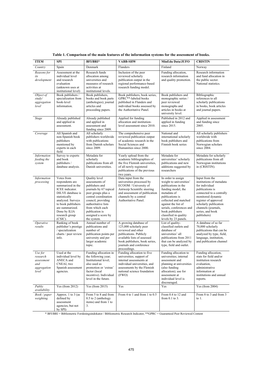| <b>ITEM</b>                                                      | <b>SPI</b>                                                                                                                                                                                                             | BFI/BRI*                                                                                                                                                                                                                                                 | <b>VABB-SHW</b>                                                                                                                                                                                            | MinEdu Data/JUFO                                                                                                                                                                                                                                                             | <b>CRISTIN</b>                                                                                                                                                                                                                              |
|------------------------------------------------------------------|------------------------------------------------------------------------------------------------------------------------------------------------------------------------------------------------------------------------|----------------------------------------------------------------------------------------------------------------------------------------------------------------------------------------------------------------------------------------------------------|------------------------------------------------------------------------------------------------------------------------------------------------------------------------------------------------------------|------------------------------------------------------------------------------------------------------------------------------------------------------------------------------------------------------------------------------------------------------------------------------|---------------------------------------------------------------------------------------------------------------------------------------------------------------------------------------------------------------------------------------------|
| Country                                                          | Spain                                                                                                                                                                                                                  | Denmark                                                                                                                                                                                                                                                  | Flanders                                                                                                                                                                                                   | Finland                                                                                                                                                                                                                                                                      | Norway                                                                                                                                                                                                                                      |
| Reasons for<br>its<br>development                                | Assessment at the<br>individual level<br>and research<br>evaluation<br>(unknown uses at<br>institutional level)                                                                                                        | Research funds<br>allocation among<br>universities and<br>measures of research<br>activities at<br>institutional levels.                                                                                                                                 | Inclusion of the peer<br>reviewed scholarly<br>publication output in the<br>regional performance-based<br>research funding model.                                                                          | Funding allocation,<br>research information<br>and quality promotion.                                                                                                                                                                                                        | Research information<br>and fund allocation in<br>the public sector.<br>National statistics.                                                                                                                                                |
| Object of<br>study/<br>aggregation<br>level                      | Book publishers /<br>specialization from<br>book-level<br>information.                                                                                                                                                 | Book publishers,<br>books and book parts<br>(anthologies); journal<br>articles and<br>proceeding papers.                                                                                                                                                 | Book publishers, book series,<br>GPRC**-labeled books<br>published in Flanders and<br>individual books assessed by<br>the Authoritative Panel.                                                             | Book publishers and<br>monographic series /<br>peer reviewed<br>monographs and<br>articles in books at<br>university level.                                                                                                                                                  | Bibliographic<br>references to all<br>scholarly publications<br>in books, book articles<br>and journal papers.                                                                                                                              |
| Stage                                                            | Already published<br>and applied in<br>assessment.                                                                                                                                                                     | Already published<br>and applied in<br>assessment and<br>funding since 2009.                                                                                                                                                                             | Applied for funding<br>allocation and institution-<br>level assessment since 2010.                                                                                                                         | Published in 2012 and<br>applied in funding<br>since 2015.                                                                                                                                                                                                                   | Applied in assessment<br>and funding since<br>2005.                                                                                                                                                                                         |
| Coverage                                                         | All Spanish and<br>non-Spanish book<br>publishers<br>mentioned by<br>experts in each<br>field.                                                                                                                         | All scholarly<br>publishers worldwide<br>with publications<br>from Danish scholars<br>since 2009.                                                                                                                                                        | The comprehensive peer<br>reviewed publication output<br>of academic research in the<br>Social Sciences and<br>Humanities since 2000.                                                                      | National and<br>international scholarly<br>book publishers and<br>Finnish book series                                                                                                                                                                                        | All scholarly publishers<br>worldwide with<br>publications from<br>Norwegian scholars<br>since 2004.                                                                                                                                        |
| Information<br>feeding the<br>system                             | Survey to experts<br>and book<br>publishers /<br>database analysis.                                                                                                                                                    | Metadata for<br>scholarly<br>publications from all<br>Danish universities.                                                                                                                                                                               | Yearly upload from the<br>academic bibliographies of<br>the five Flemish universities,<br>of all newly registered<br>publications of the previous<br>two years.                                            | Metadata for<br>universities' scholarly<br>publications and new<br>additions suggested by<br>researchers                                                                                                                                                                     | Metadata for scholarly<br>publications from all<br>Norwegian institutions<br>in (CRISTIN).                                                                                                                                                  |
| Information<br>processing                                        | Votes from<br>respondents are<br>summarized in the<br>ICEE indicator.<br>DILVE database is<br>statistically<br>analyzed. Surveys<br>to book publishers<br>are summarized.<br>Done by ILIA<br>research group<br>(CSIC). | <b>Ouality</b> level<br>assessments of<br>publishers and<br>journals by 67 topical<br>peer groups plus a<br>central coordination<br>council, providing<br>authoritative lists<br>from which each<br>publication is<br>assigned a score by<br>the system. | Data input from the<br>universities processed by<br>ECOOM / University of<br>Antwerp Scientific steering<br>and assessment of publication<br>channels by a central<br>Authoritative Panel.                 | In order to assign<br>weight to universities'<br>publications in the<br>funding model, the<br>metadata of<br>publications is<br>collected and matched<br>against the list of<br>serials, conferences and<br>book publishers<br>classified in quality<br>levels by 23 panels. | Input from the<br>institutions of metadata<br>for individual<br>publications is<br>connected to a centrally<br>monitored dynamic<br>register of approved<br>scholarly publication<br>channels (journals,<br>series, and book<br>publishers) |
| Operative<br>results                                             | Ranking of book<br>publisher's prestige<br>/ specialization<br>charts / peer review<br>info.                                                                                                                           | Annual number of<br>publications and<br>number of<br>publication points per<br>university and per<br>larger academic<br>topic.                                                                                                                           | A growing database of<br>125,000 scholarly peer<br>reviewed and other<br>publications. Publicly<br>available lists of assessed<br>book publishers, book series,<br>journals and conference<br>proceedings. | List of quality-<br>classified outlets and<br>database of<br>universities' all<br>publications from 2011<br>that can be analyzed by<br>type, field and outlet.                                                                                                               | A database of so far<br>70,000 scholarly<br>publications that can be<br>analyzed by type, field,<br>language, institution,<br>and publication channel                                                                                       |
| Use for<br>research<br>assessment<br>and<br>aggregation<br>level | Used at the<br>individual level by<br>ANECA and<br>CNEAI, two<br>Spanish assessment<br>agencies.                                                                                                                       | Funding allocation in<br>the following year;<br>Institutional level;<br>also used as<br>promotion or 'extras'<br>factor (local<br>incentive). Individual<br>level in the future.                                                                         | Funding allocation to five<br>universities; support of<br>internal assessments at<br>individual universities, and<br>assessments by the Flemish<br>national science foundation<br>(FWO)                    | Funding allocation to<br>universities; internal<br>assessment and<br>planning at universities<br>(also funding<br>allocation); use for<br>assessment at<br>individual level is<br>discouraged.                                                                               | Funding allocation,<br>stats for field and/or<br>institution research<br>evaluation,<br>administrative<br>information at<br>institutions and annual<br>reports.                                                                             |
| Public<br>availability                                           | Yes (from $2012$ )                                                                                                                                                                                                     | Yes (from $2015$ )                                                                                                                                                                                                                                       | Yes                                                                                                                                                                                                        | Yes                                                                                                                                                                                                                                                                          | Yes (from $2004$ )                                                                                                                                                                                                                          |
| Book / paper<br>weighting                                        | Approx. 1 to 3 (as<br>defined by<br>assessment<br>agencies, but not<br>by SPI)                                                                                                                                         | From 5 to 8 and from<br>0.5 to 2 (anthology<br>items) and from 1 to<br>3.                                                                                                                                                                                | From 4 to 1 and from 1 to 0.5                                                                                                                                                                              | From 0.4 to 12 and<br>from $0.1$ to $3$ .                                                                                                                                                                                                                                    | From 8 to 3 and from 3<br>to $1$ .                                                                                                                                                                                                          |

**Table 1. Comparison of the main features of the information systems for the assessment of books.**

\* BFI/BRI = Bibliometric Forskningsindokator / Bibliometric Research Indicator, \*\*GPRC = Guaranteed Peer Reviewed Content